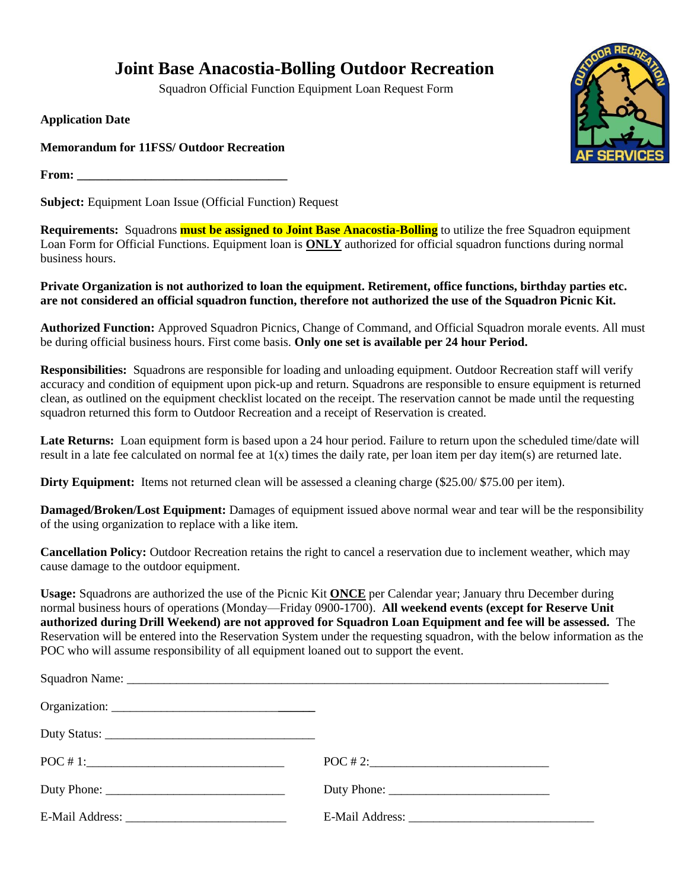## **Joint Base Anacostia-Bolling Outdoor Recreation**

Squadron Official Function Equipment Loan Request Form

**Application Date**

**Memorandum for 11FSS/ Outdoor Recreation**

**From: \_\_\_\_\_\_\_\_\_\_\_\_\_\_\_\_\_\_\_\_\_\_\_\_\_\_\_\_\_\_\_\_\_\_**

**Subject:** Equipment Loan Issue (Official Function) Request

**Requirements:** Squadrons **must be assigned to Joint Base Anacostia-Bolling** to utilize the free Squadron equipment Loan Form for Official Functions. Equipment loan is **ONLY** authorized for official squadron functions during normal business hours.

**Private Organization is not authorized to loan the equipment. Retirement, office functions, birthday parties etc. are not considered an official squadron function, therefore not authorized the use of the Squadron Picnic Kit.**

**Authorized Function:** Approved Squadron Picnics, Change of Command, and Official Squadron morale events. All must be during official business hours. First come basis. **Only one set is available per 24 hour Period.** 

**Responsibilities:** Squadrons are responsible for loading and unloading equipment. Outdoor Recreation staff will verify accuracy and condition of equipment upon pick-up and return. Squadrons are responsible to ensure equipment is returned clean, as outlined on the equipment checklist located on the receipt. The reservation cannot be made until the requesting squadron returned this form to Outdoor Recreation and a receipt of Reservation is created.

Late Returns: Loan equipment form is based upon a 24 hour period. Failure to return upon the scheduled time/date will result in a late fee calculated on normal fee at  $1(x)$  times the daily rate, per loan item per day item(s) are returned late.

**Dirty Equipment:** Items not returned clean will be assessed a cleaning charge (\$25.00/ \$75.00 per item).

**Damaged/Broken/Lost Equipment:** Damages of equipment issued above normal wear and tear will be the responsibility of the using organization to replace with a like item.

**Cancellation Policy:** Outdoor Recreation retains the right to cancel a reservation due to inclement weather, which may cause damage to the outdoor equipment.

**Usage:** Squadrons are authorized the use of the Picnic Kit **ONCE** per Calendar year; January thru December during normal business hours of operations (Monday—Friday 0900-1700). **All weekend events (except for Reserve Unit authorized during Drill Weekend) are not approved for Squadron Loan Equipment and fee will be assessed.** The Reservation will be entered into the Reservation System under the requesting squadron, with the below information as the POC who will assume responsibility of all equipment loaned out to support the event.

| $\overline{POC}$ # 1:                                                     |             |
|---------------------------------------------------------------------------|-------------|
| Duty Phone: $\sqrt{\frac{2}{1-\frac{1}{2}} \left[\frac{1}{2}\right]^{2}}$ | Duty Phone: |
|                                                                           |             |